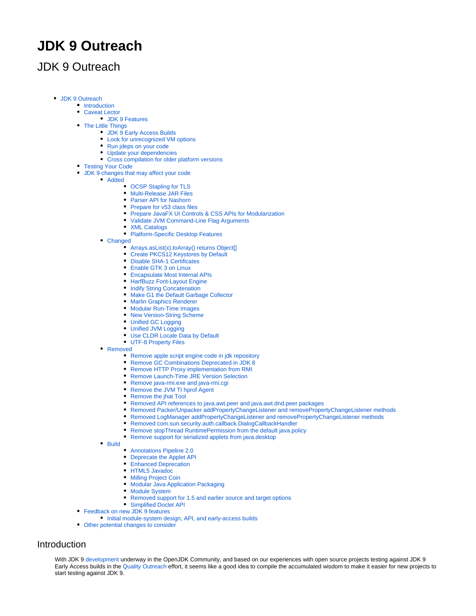# **JDK 9 Outreach**

# <span id="page-0-0"></span>JDK 9 Outreach

- [JDK 9 Outreach](#page-0-0)
	- [Introduction](#page-0-1)
	- [Caveat Lector](#page-0-2)
		- [JDK 9 Features](#page-1-0)
	- [The Little Things](#page-1-1)
		- [JDK 9 Early Access Builds](#page-1-2)
		- [Look for unrecognized VM options](#page-1-3)
		- [Run jdeps on your code](#page-1-4)
		- [Update your dependencies](#page-1-5)
		- [Cross compilation for older platform versions](#page-1-6)
	- [Testing Your Code](#page-1-7)
		- [JDK 9 changes that may affect your code](#page-1-8)
		- [Added](#page-2-0)
			- [OCSP Stapling for TLS](#page-2-1)
			- [Multi-Release JAR Files](#page-2-2)
			- [Parser API for Nashorn](#page-2-3)
			- [Prepare for v53 class files](#page-2-4)
			- [Prepare JavaFX UI Controls & CSS APIs for Modularization](#page-2-5)
			- [Validate JVM Command-Line Flag Arguments](#page-2-6)
			- [XML Catalogs](#page-2-7)
			- [Platform-Specific Desktop Features](#page-2-8)
			- [Changed](#page-2-9)
				- **[Arrays.asList\(x\).toArray\(\) returns Object\[\]](#page-2-10)**
				- [Create PKCS12 Keystores by Default](#page-2-11)
				- [Disable SHA-1 Certificates](#page-2-12)
				- [Enable GTK 3 on Linux](#page-2-13)
				- [Encapsulate Most Internal APIs](#page-3-0)
				- [HarfBuzz Font-Layout Engine](#page-3-1)
				- [Indify String Concatenation](#page-3-2)
				- [Make G1 the Default Garbage Collector](#page-3-3)
				- **[Marlin Graphics Renderer](#page-3-4)**
				- [Modular Run-Time Images](#page-3-5)
				- [New Version-String Scheme](#page-3-6)
				- [Unified GC Logging](#page-3-7)
				- [Unified JVM Logging](#page-3-8)
				- [Use CLDR Locale Data by Default](#page-3-9)
				- [UTF-8 Property Files](#page-3-10)
			- [Removed](#page-3-11)
				- [Remove apple script engine code in jdk repository](#page-3-12)
				- [Remove GC Combinations Deprecated in JDK 8](#page-4-0)
				- [Remove HTTP Proxy implementation from RMI](#page-4-1)  $\bullet$
				- [Remove Launch-Time JRE Version Selection](#page-4-2)
				- [Remove java-rmi.exe and java-rmi.cgi](#page-4-3)
				- [Remove the JVM TI hprof Agent](#page-4-4)
				- [Remove the jhat Tool](#page-4-5)
				- [Removed API references to java.awt.peer and java.awt.dnd.peer packages](#page-4-6)
				- [Removed Packer/Unpacker addPropertyChangeListener and removePropertyChangeListener methods](#page-4-7)
				- [Removed LogManager addPropertyChangeListener and removePropertyChangeListener methods](#page-4-8)
				- $\bullet$ [Removed com.sun.security.auth.callback.DialogCallbackHandler](#page-4-9)
				- [Remove stopThread RuntimePermission from the default java.policy](#page-4-10)  $\bullet$
				- [Remove support for serialized applets from java.desktop](#page-4-11)

• [Build](#page-4-12)

- [Annotations Pipeline 2.0](#page-4-13)
- [Deprecate the Applet API](#page-4-14)
- [Enhanced Deprecation](#page-5-0)
- [HTML5 Javadoc](#page-5-1)
- [Milling Project Coin](#page-5-2)
- [Modular Java Application Packaging](#page-5-3)
- [Module System](#page-5-4)
- [Removed support for 1.5 and earlier source and target options](#page-5-5)
- [Simplified Doclet API](#page-5-6)
- [Feedback on new JDK 9 features](#page-5-7)
	- [Initial module-system design, API, and early-access builds](#page-6-0)
- [Other potential changes to consider](#page-6-1)

# <span id="page-0-2"></span><span id="page-0-1"></span>**Introduction**

With JDK 9 [development](http://openjdk.java.net/projects/jdk9/) underway in the OpenJDK Community, and based on our experiences with open source projects testing against JDK 9 Early Access builds in the [Quality Outreach](https://wiki.openjdk.org/display/quality/Quality+Outreach) effort, it seems like a good idea to compile the accumulated wisdom to make it easier for new projects to start testing against JDK 9.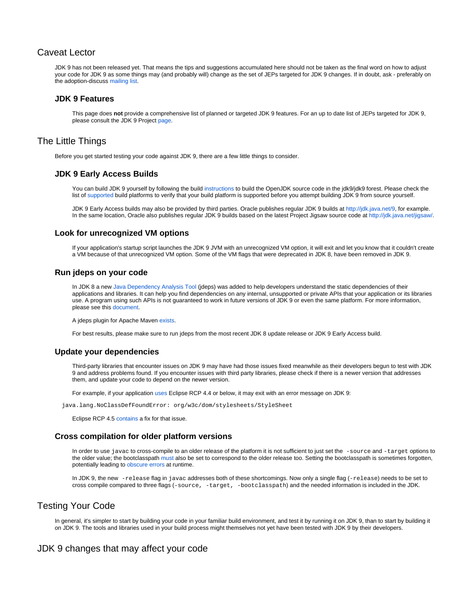# Caveat Lector

JDK 9 has not been released yet. That means the tips and suggestions accumulated here should not be taken as the final word on how to adjust your code for JDK 9 as some things may (and probably will) change as the set of JEPs targeted for JDK 9 changes. If in doubt, ask - preferably on the adoption-discuss [mailing list](http://mail.openjdk.java.net/mailman/listinfo/adoption-discuss).

# <span id="page-1-0"></span>**JDK 9 Features**

This page does **not** provide a comprehensive list of planned or targeted JDK 9 features. For an up to date list of JEPs targeted for JDK 9, please consult the JDK 9 Project [page](http://openjdk.java.net/projects/jdk9/).

# <span id="page-1-2"></span><span id="page-1-1"></span>The Little Things

Before you get started testing your code against JDK 9, there are a few little things to consider.

# **JDK 9 Early Access Builds**

You can build JDK 9 yourself by following the build [instructions](http://hg.openjdk.java.net/jdk9/jdk9/raw-file/tip/README-builds.html) to build the OpenJDK source code in the jdk9/jdk9 forest. Please check the list of [supported](https://wiki.openjdk.org/display/Build/Supported+Build+Platforms) build platforms to verify that your build platform is supported before you attempt building JDK 9 from source yourself.

JDK 9 Early Access builds may also be provided by third parties. Oracle publishes regular JDK 9 builds at<http://jdk.java.net/9>, for example. In the same location, Oracle also publishes regular JDK 9 builds based on the latest Project Jigsaw source code at [http://jdk.java.net/jigsaw/.](http://jdk.java.net/jigsaw/)

# <span id="page-1-3"></span>**Look for unrecognized VM options**

If your application's startup script launches the JDK 9 JVM with an unrecognized VM option, it will exit and let you know that it couldn't create a VM because of that unrecognized VM option. Some of the VM flags that were deprecated in JDK 8, have been removed in JDK 9.

# <span id="page-1-4"></span>**Run jdeps on your code**

In JDK 8 a new [Java Dependency Analysis Tool](https://wiki.openjdk.org/display/JDK8/Java+Dependency+Analysis+Tool) (jdeps) was added to help developers understand the static dependencies of their applications and libraries. It can help you find dependencies on any internal, unsupported or private APIs that your application or its libraries use. A program using such APIs is not guaranteed to work in future versions of JDK 9 or even the same platform. For more information, please see this [document](http://www.oracle.com/technetwork/java/faq-sun-packages-142232.html).

A jdeps plugin for Apache Maven [exists](https://maven.apache.org/plugins-archives/maven-jdeps-plugin-LATEST/maven-jdeps-plugin/index.html).

For best results, please make sure to run jdeps from the most recent JDK 8 update release or JDK 9 Early Access build.

# <span id="page-1-5"></span>**Update your dependencies**

Third-party libraries that encounter issues on JDK 9 may have had those issues fixed meanwhile as their developers begun to test with JDK 9 and address problems found. If you encounter issues with third party libraries, please check if there is a newer version that addresses them, and update your code to depend on the newer version.

For example, if your application [uses](https://bugs.eclipse.org/bugs/show_bug.cgi?id=473537) Eclipse RCP 4.4 or below, it may exit with an error message on JDK 9:

java.lang.NoClassDefFoundError: org/w3c/dom/stylesheets/StyleSheet

Eclipse RCP 4.5 [contains](https://bugs.eclipse.org/bugs/show_bug.cgi?id=466683) a fix for that issue.

# <span id="page-1-6"></span>**Cross compilation for older platform versions**

In order to use javac to cross-compile to an older release of the platform it is not sufficient to just set the -source and -target options to the older value; the bootclasspath [must a](https://blogs.oracle.com/darcy/entry/how_to_cross_compile_for)lso be set to correspond to the older release too. Setting the bootclasspath is sometimes forgotten, potentially leading to [obscure errors](https://docs.oracle.com/javase/8/docs/technotes/tools/windows/javac.html#sthref75) at runtime.

In JDK 9, the new -release flag in javac addresses both of these shortcomings. Now only a single flag (-release) needs to be set to cross compile compared to three flags (-source, -target, -bootclasspath) and the needed information is included in the JDK.

# <span id="page-1-7"></span>Testing Your Code

In general, it's simpler to start by building your code in your familiar build environment, and test it by running it on JDK 9, than to start by building it on JDK 9. The tools and libraries used in your build process might themselves not yet have been tested with JDK 9 by their developers.

# <span id="page-1-8"></span>JDK 9 changes that may affect your code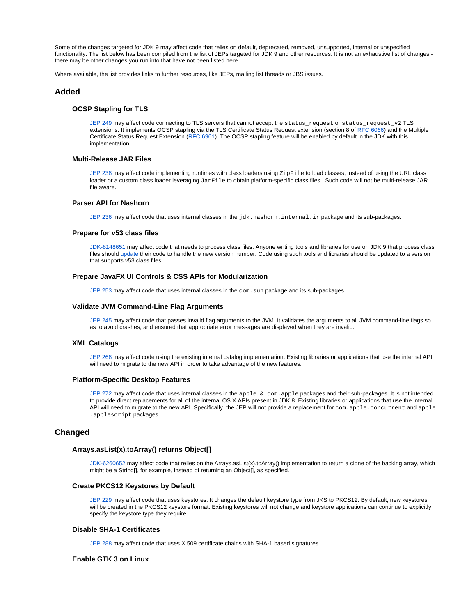Some of the changes targeted for JDK 9 may affect code that relies on default, deprecated, removed, unsupported, internal or unspecified functionality. The list below has been compiled from the list of JEPs targeted for JDK 9 and other resources. It is not an exhaustive list of changes there may be other changes you run into that have not been listed here.

Where available, the list provides links to further resources, like JEPs, mailing list threads or JBS issues.

# <span id="page-2-1"></span><span id="page-2-0"></span>**Added**

#### **OCSP Stapling for TLS**

[JEP 249](http://openjdk.java.net/jeps/249) may affect code connecting to TLS servers that cannot accept the status\_request or status\_request\_v2 TLS extensions. It implements OCSP stapling via the TLS Certificate Status Request extension (section 8 of [RFC 6066](http://tools.ietf.org/html/rfc6066)) and the Multiple Certificate Status Request Extension [\(RFC 6961](http://tools.ietf.org/html/rfc6961)). The OCSP stapling feature will be enabled by default in the JDK with this implementation.

#### <span id="page-2-2"></span>**Multi-Release JAR Files**

[JEP 238](http://openjdk.java.net/jeps/238) may affect code implementing runtimes with class loaders using ZipFile to load classes, instead of using the URL class loader or a custom class loader leveraging JarFile to obtain platform-specific class files. Such code will not be multi-release JAR file aware.

## <span id="page-2-3"></span>**Parser API for Nashorn**

[JEP 236](http://openjdk.java.net/jeps/236) may affect code that uses internal classes in the jdk.nashorn.internal.ir package and its sub-packages.

#### <span id="page-2-4"></span>**Prepare for v53 class files**

[JDK-8148651](https://bugs.openjdk.java.net/browse/JDK-8148651) may affect code that needs to process class files. Anyone writing tools and libraries for use on JDK 9 that process class files should [update](http://mail.openjdk.java.net/pipermail/jdk9-dev/2016-January/003507.html) their code to handle the new version number. Code using such tools and libraries should be updated to a version that supports v53 class files.

#### <span id="page-2-5"></span>**Prepare JavaFX UI Controls & CSS APIs for Modularization**

[JEP 253](http://openjdk.java.net/jeps/253) may affect code that uses internal classes in the com. sun package and its sub-packages.

#### <span id="page-2-6"></span>**Validate JVM Command-Line Flag Arguments**

[JEP 245](http://openjdk.java.net/jeps/245) may affect code that passes invalid flag arguments to the JVM. It validates the arguments to all JVM command-line flags so as to avoid crashes, and ensured that appropriate error messages are displayed when they are invalid.

#### <span id="page-2-7"></span>**XML Catalogs**

[JEP 268](http://openjdk.java.net/jeps/268) may affect code using the existing internal catalog implementation. Existing libraries or applications that use the internal API will need to migrate to the new API in order to take advantage of the new features.

#### <span id="page-2-8"></span>**Platform-Specific Desktop Features**

[JEP 272](http://openjdk.java.net/jeps/272) may affect code that uses internal classes in the apple & com.apple packages and their sub-packages. It is not intended to provide direct replacements for all of the internal OS X APIs present in JDK 8. Existing libraries or applications that use the internal API will need to migrate to the new API. Specifically, the JEP will not provide a replacement for com. apple.concurrent and apple .applescript packages.

# <span id="page-2-10"></span><span id="page-2-9"></span>**Changed**

#### **Arrays.asList(x).toArray() returns Object[]**

[JDK-6260652](https://bugs.openjdk.java.net/browse/JDK-6260652) may affect code that relies on the Arrays.asList(x).toArray() implementation to return a clone of the backing array, which might be a String[], for example, instead of returning an Object[], as specified.

# <span id="page-2-11"></span>**Create PKCS12 Keystores by Default**

[JEP 229](http://openjdk.java.net/jeps/229) may affect code that uses keystores. It changes the default keystore type from JKS to PKCS12. By default, new keystores will be created in the PKCS12 keystore format. Existing keystores will not change and keystore applications can continue to explicitly specify the keystore type they require.

## <span id="page-2-12"></span>**Disable SHA-1 Certificates**

[JEP 288](http://openjdk.java.net/jeps/288) may affect code that uses X.509 certificate chains with SHA-1 based signatures.

#### <span id="page-2-13"></span>**Enable GTK 3 on Linux**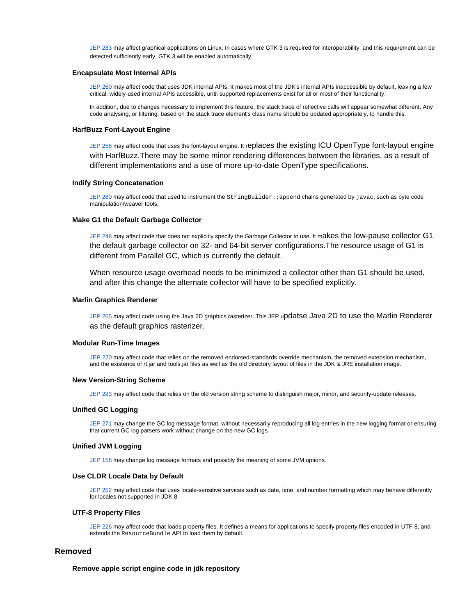[JEP 283](http://openjdk.java.net/jeps/283) may affect graphical applications on Linux. In cases where GTK 3 is required for interoperability, and this requirement can be detected sufficiently early, GTK 3 will be enabled automatically.

#### <span id="page-3-0"></span>**Encapsulate Most Internal APIs**

[JEP 260](http://openjdk.java.net/jeps/260) may affect code that uses JDK internal APIs. It makes most of the JDK's internal APIs inaccessible by default, leaving a few critical, widely-used internal APIs accessible, until supported replacements exist for all or most of their functionality.

In addition, due to changes necessary to implement this feature, the stack trace of reflective calls will appear somewhat different. Any code analysing, or filtering, based on the stack trace element's class name should be updated appropriately, to handle this.

#### <span id="page-3-1"></span>**HarfBuzz Font-Layout Engine**

[JEP 258](http://openjdk.java.net/jeps/258) may affect code that uses the font-layout engine. It replaces the existing ICU OpenType font-layout engine with HarfBuzz.There may be some minor rendering differences between the libraries, as a result of different implementations and a use of more up-to-date OpenType specifications.

## <span id="page-3-2"></span>**Indify String Concatenation**

[JEP 280](http://openjdk.java.net/jeps/280) may affect code that used to instrument the StringBuilder: : append chains generated by javac, such as byte code manipulation/weaver tools.

# <span id="page-3-3"></span>**Make G1 the Default Garbage Collector**

[JEP 248](http://openjdk.java.net/jeps/248) may affect code that does not explicitly specify the Garbage Collector to use. It makes the low-pause collector G1 the default garbage collector on 32- and 64-bit server configurations.The resource usage of G1 is different from Parallel GC, which is currently the default.

When resource usage overhead needs to be minimized a collector other than G1 should be used, and after this change the alternate collector will have to be specified explicitly.

## <span id="page-3-4"></span>**Marlin Graphics Renderer**

[JEP 265](http://openjdk.java.net/jeps/265) may affect code using the Java 2D graphics rasterizer. This JEP updatse Java 2D to use the Marlin Renderer as the default graphics rasterizer.

#### <span id="page-3-5"></span>**Modular Run-Time Images**

[JEP 220](http://openjdk.java.net/jeps/220) may affect code that relies on the removed endorsed-standards override mechanism, the removed extension mechanism, and the existence of rt.jar and tools.jar files as well as the old directory layout of files in the JDK & JRE installation image.

#### <span id="page-3-6"></span>**New Version-String Scheme**

[JEP 223](http://openjdk.java.net/jeps/223) may affect code that relies on the old version string scheme to distinguish major, minor, and security-update releases.

#### <span id="page-3-7"></span>**Unified GC Logging**

[JEP 271](http://openjdk.java.net/jeps/271) may change the GC log message format, without necessarily reproducing all log entries in the new logging format or ensuring that current GC log parsers work without change on the new GC logs.

# <span id="page-3-8"></span>**Unified JVM Logging**

[JEP 158](http://openjdk.java.net/jeps/158) may change log message formats and possibly the meaning of some JVM options.

#### <span id="page-3-9"></span>**Use CLDR Locale Data by Default**

[JEP 252](http://openjdk.java.net/jeps/252) may affect code that uses locale-sensitive services such as date, time, and number formatting which may behave differently for locales not supported in JDK 8.

## **UTF-8 Property Files**

[JEP 226](http://openjdk.java.net/jeps/226) may affect code that loads property files. It defines a means for applications to specify property files encoded in UTF-8, and extends the ResourceBundle API to load them by default.

# <span id="page-3-12"></span><span id="page-3-11"></span><span id="page-3-10"></span>**Removed**

# **Remove apple script engine code in jdk repository**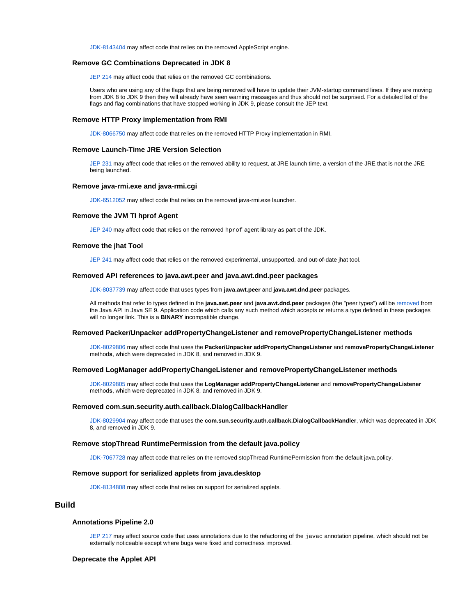[JDK-8143404](https://bugs.openjdk.java.net/browse/JDK-8143404) may affect code that relies on the removed AppleScript engine.

# <span id="page-4-0"></span>**Remove GC Combinations Deprecated in JDK 8**

[JEP 214](http://openjdk.java.net/jeps/214) may affect code that relies on the removed GC combinations.

Users who are using any of the flags that are being removed will have to update their JVM-startup command lines. If they are moving from JDK 8 to JDK 9 then they will already have seen warning messages and thus should not be surprised. For a detailed list of the flags and flag combinations that have stopped working in JDK 9, please consult the JEP text.

#### <span id="page-4-1"></span>**Remove HTTP Proxy implementation from RMI**

[JDK-8066750](https://bugs.openjdk.java.net/browse/JDK-8066750) may affect code that relies on the removed HTTP Proxy implementation in RMI.

## <span id="page-4-2"></span>**Remove Launch-Time JRE Version Selection**

[JEP 231](http://openjdk.java.net/jeps/231) may affect code that relies on the removed ability to request, at JRE launch time, a version of the JRE that is not the JRE being launched.

#### <span id="page-4-3"></span>**Remove java-rmi.exe and java-rmi.cgi**

[JDK-6512052](https://bugs.openjdk.java.net/browse/JDK-6512052) may affect code that relies on the removed java-rmi.exe launcher.

#### <span id="page-4-4"></span>**Remove the JVM TI hprof Agent**

[JEP 240](http://openjdk.java.net/jeps/240) may affect code that relies on the removed hprof agent library as part of the JDK.

#### <span id="page-4-5"></span>**Remove the jhat Tool**

[JEP 241](http://openjdk.java.net/jeps/241) may affect code that relies on the removed experimental, unsupported, and out-of-date jhat tool.

#### <span id="page-4-6"></span>**Removed API references to java.awt.peer and java.awt.dnd.peer packages**

[JDK-8037739](https://bugs.openjdk.java.net/browse/JDK-8037739) may affect code that uses types from **java.awt.peer** and **java.awt.dnd.peer** packages.

All methods that refer to types defined in the **java.awt.peer** and **java.awt.dnd.peer** packages (the "peer types") will be [removed f](http://mail.openjdk.java.net/pipermail/awt-dev/2015-February/008924.html)rom the Java API in Java SE 9. Application code which calls any such method which accepts or returns a type defined in these packages will no longer link. This is a **BINARY** incompatible change.

#### <span id="page-4-7"></span>**Removed Packer/Unpacker addPropertyChangeListener and removePropertyChangeListener methods**

[JDK-8029806](https://bugs.openjdk.java.net/browse/JDK-8029806) may affect code that uses the **Packer/Unpacker addPropertyChangeListener** and **removePropertyChangeListener** method**s**, which were deprecated in JDK 8, and removed in JDK 9.

#### <span id="page-4-8"></span>**Removed LogManager addPropertyChangeListener and removePropertyChangeListener methods**

[JDK-8029805](https://bugs.openjdk.java.net/browse/JDK-8029805) may affect code that uses the **LogManager addPropertyChangeListener** and **removePropertyChangeListener** method**s**, which were deprecated in JDK 8, and removed in JDK 9.

#### <span id="page-4-9"></span>**Removed com.sun.security.auth.callback.DialogCallbackHandler**

[JDK-8029904](https://bugs.openjdk.java.net/browse/JDK-8029904) may affect code that uses the **com.sun.security.auth.callback.DialogCallbackHandler**, which was deprecated in JDK 8, and removed in JDK 9.

#### <span id="page-4-10"></span>**Remove stopThread RuntimePermission from the default java.policy**

[JDK-7067728](https://bugs.openjdk.java.net/browse/JDK-7067728) may affect code that relies on the removed stopThread RuntimePermission from the default java.policy.

#### **Remove support for serialized applets from java.desktop**

[JDK-8134808](https://bugs.openjdk.java.net/browse/JDK-8134808) may affect code that relies on support for serialized applets.

# <span id="page-4-13"></span><span id="page-4-12"></span><span id="page-4-11"></span>**Build**

## **Annotations Pipeline 2.0**

[JEP 217](http://openjdk.java.net/jeps/217) may affect source code that uses annotations due to the refactoring of the javac annotation pipeline, which should not be externally noticeable except where bugs were fixed and correctness improved.

#### <span id="page-4-14"></span>**Deprecate the Applet API**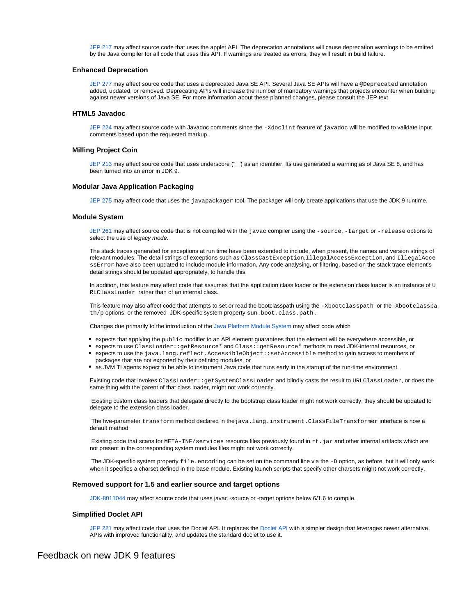[JEP 217](http://openjdk.java.net/jeps/217) may affect source code that uses the applet API. The deprecation annotations will cause deprecation warnings to be emitted by the Java compiler for all code that uses this API. If warnings are treated as errors, they will result in build failure.

#### <span id="page-5-0"></span>**Enhanced Deprecation**

[JEP 277](http://openjdk.java.net/jeps/277) may affect source code that uses a deprecated Java SE API. Several Java SE APIs will have a @Deprecated annotation added, updated, or removed. Deprecating APIs will increase the number of mandatory warnings that projects encounter when building against newer versions of Java SE. For more information about these planned changes, please consult the JEP text.

## <span id="page-5-1"></span>**HTML5 Javadoc**

[JEP 224](http://openjdk.java.net/jeps/224) may affect source code with Javadoc comments since the -xdoclint feature of javadoc will be modified to validate input comments based upon the requested markup.

#### <span id="page-5-2"></span>**Milling Project Coin**

[JEP 213](http://openjdk.java.net/jeps/213) may affect source code that uses underscore ("\_") as an identifier. Its use generated a warning as of Java SE 8, and has been turned into an error in JDK 9.

#### <span id="page-5-3"></span>**Modular Java Application Packaging**

[JEP 275](http://openjdk.java.net/jeps/275) may affect code that uses the javapackager tool. The packager will only create applications that use the JDK 9 runtime.

## <span id="page-5-4"></span>**Module System**

[JEP 261](http://openjdk.java.net/jeps/261) may affect source code that is not compiled with the javac compiler using the -source, -target or -release options to select the use of *legacy mode*.

The stack traces generated for exceptions at run time have been extended to include, when present, the names and version strings of relevant modules. The detail strings of exceptions such as ClassCastException,IllegalAccessException, and IllegalAcce ssError have also been updated to include module information. Any code analysing, or filtering, based on the stack trace element's detail strings should be updated appropriately, to handle this.

In addition, this feature may affect code that assumes that the application class loader or the extension class loader is an instance of  $U$ RLClassLoader, rather than of an internal class.

This feature may also affect code that attempts to set or read the bootclasspath using the -Xbootclasspath or the -Xbootclasspa th/p options, or the removed JDK-specific system property sun.boot.class.path.

Changes due primarily to the introduction of the [Java Platform Module System](http://openjdk.java.net/projects/jigsaw/spec/) may affect code which

- $\bullet$  expects that applying the  $\text{public modifier to an API element guarantees that the element will be everywhere accessible, or}$
- expects to use ClassLoader::getResource\* and Class::getResource\* methods to read JDK-internal resources, or
- expects to use the java.lang.reflect.AccessibleObject::setAccessible method to gain access to members of
- packages that are not exported by their defining modules, or
- as JVM TI agents expect to be able to instrument Java code that runs early in the startup of the run-time environment.

Existing code that invokes ClassLoader::getSystemClassLoader and blindly casts the result to URLClassLoader, or does the same thing with the parent of that class loader, might not work correctly.

Existing custom class loaders that delegate directly to the bootstrap class loader might not work correctly; they should be updated to delegate to the extension class loader.

The five-parameter transform method declared in thejava.lang.instrument.ClassFileTransformer interface is now a default method.

Existing code that scans for META-INF/services resource files previously found in rt. jar and other internal artifacts which are not present in the corresponding system modules files might not work correctly.

The JDK-specific system property file.encoding can be set on the command line via the -D option, as before, but it will only work when it specifies a charset defined in the base module. Existing launch scripts that specify other charsets might not work correctly.

#### <span id="page-5-5"></span>**Removed support for 1.5 and earlier source and target options**

[JDK-8011044](https://bugs.openjdk.java.net/browse/JDK-8011044) may affect source code that uses javac -source or -target options below 6/1.6 to compile.

#### **Simplified Doclet API**

[JEP 221](http://openjdk.java.net/jeps/221) may affect code that uses the [Doclet API](http://docs.oracle.com/javase/8/docs/jdk/api/javadoc/doclet/index.html). It replaces the Doclet API with a simpler design that leverages newer alternative APIs with improved functionality, and updates the standard doclet to use it.

# <span id="page-5-7"></span><span id="page-5-6"></span>Feedback on new JDK 9 features